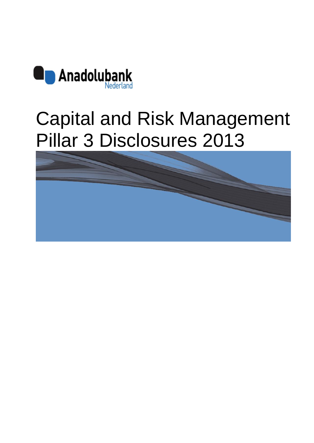

# Capital and Risk Management Pillar 3 Disclosures 2013

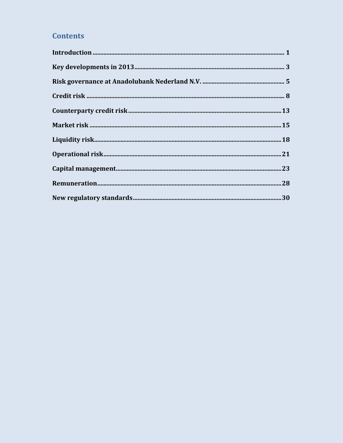### **Contents**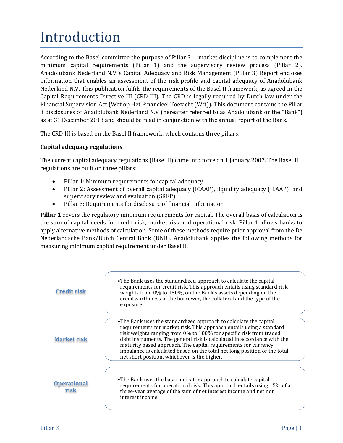## <span id="page-2-0"></span>Introduction

According to the Basel committee the purpose of Pillar  $3$  — market discipline is to complement the minimum capital requirements (Pillar 1) and the supervisory review process (Pillar 2). Anadolubank Nederland N.V.'s Capital Adequacy and Risk Management (Pillar 3) Report encloses information that enables an assessment of the risk profile and capital adequacy of Anadolubank Nederland N.V. This publication fulfils the requirements of the Basel II framework, as agreed in the Capital Requirements Directive III (CRD III). The CRD is legally required by Dutch law under the Financial Supervision Act (Wet op Het Financieel Toezicht (Wft)). This document contains the Pillar 3 disclosures of Anadolubank Nederland N.V (hereafter referred to as Anadolubank or the "Bank") as at 31 December 2013 and should be read in conjunction with the annual report of the Bank.

The CRD III is based on the Basel II framework, which contains three pillars:

#### **Capital adequacy regulations**

The current capital adequacy regulations (Basel II) came into force on 1 January 2007. The Basel II regulations are built on three pillars:

- Pillar 1: Minimum requirements for capital adequacy
- Pillar 2: Assessment of overall capital adequacy (ICAAP), liquidity adequacy (ILAAP) and supervisory review and evaluation (SREP)
- Pillar 3: Requirements for disclosure of financial information

**Pillar 1** covers the regulatory minimum requirements for capital. The overall basis of calculation is the sum of capital needs for credit risk, market risk and operational risk. Pillar 1 allows banks to apply alternative methods of calculation. Some of these methods require prior approval from the De Nederlandsche Bank/Dutch Central Bank (DNB). Anadolubank applies the following methods for measuring minimum capital requirement under Basel II.

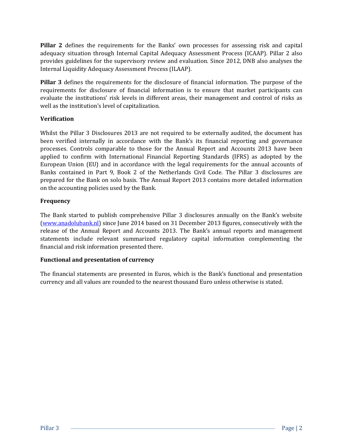**Pillar 2** defines the requirements for the Banks' own processes for assessing risk and capital adequacy situation through Internal Capital Adequacy Assessment Process (ICAAP). Pillar 2 also provides guidelines for the supervisory review and evaluation. Since 2012, DNB also analyses the Internal Liquidity Adequacy Assessment Process (ILAAP).

**Pillar 3** defines the requirements for the disclosure of financial information. The purpose of the requirements for disclosure of financial information is to ensure that market participants can evaluate the institutions' risk levels in different areas, their management and control of risks as well as the institution's level of capitalization.

#### **Verification**

Whilst the Pillar 3 Disclosures 2013 are not required to be externally audited, the document has been verified internally in accordance with the Bank's its financial reporting and governance processes. Controls comparable to those for the Annual Report and Accounts 2013 have been applied to confirm with International Financial Reporting Standards (IFRS) as adopted by the European Union (EU) and in accordance with the legal requirements for the annual accounts of Banks contained in Part 9, Book 2 of the Netherlands Civil Code. The Pillar 3 disclosures are prepared for the Bank on solo basis. The Annual Report 2013 contains more detailed information on the accounting policies used by the Bank.

#### **Frequency**

The Bank started to publish comprehensive Pillar 3 disclosures annually on the Bank's website [\(www.anadolubank.nl\)](http://www.anadolubank.nl/) since June 2014 based on 31 December 2013 figures, consecutively with the release of the Annual Report and Accounts 2013. The Bank's annual reports and management statements include relevant summarized regulatory capital information complementing the financial and risk information presented there.

#### **Functional and presentation of currency**

The financial statements are presented in Euros, which is the Bank's functional and presentation currency and all values are rounded to the nearest thousand Euro unless otherwise is stated.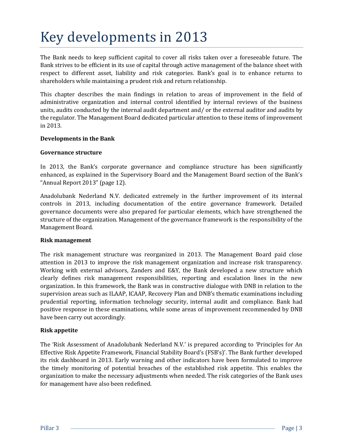## <span id="page-4-0"></span>Key developments in 2013

The Bank needs to keep sufficient capital to cover all risks taken over a foreseeable future. The Bank strives to be efficient in its use of capital through active management of the balance sheet with respect to different asset, liability and risk categories. Bank's goal is to enhance returns to shareholders while maintaining a prudent risk and return relationship.

This chapter describes the main findings in relation to areas of improvement in the field of administrative organization and internal control identified by internal reviews of the business units, audits conducted by the internal audit department and/ or the external auditor and audits by the regulator. The Management Board dedicated particular attention to these items of improvement in 2013.

#### **Developments in the Bank**

#### **Governance structure**

In 2013, the Bank's corporate governance and compliance structure has been significantly enhanced, as explained in the Supervisory Board and the Management Board section of the Bank's "Annual Report 2013" (page 12).

Anadolubank Nederland N.V. dedicated extremely in the further improvement of its internal controls in 2013, including documentation of the entire governance framework. Detailed governance documents were also prepared for particular elements, which have strengthened the structure of the organization. Management of the governance framework is the responsibility of the Management Board.

#### **Risk management**

The risk management structure was reorganized in 2013. The Management Board paid close attention in 2013 to improve the risk management organization and increase risk transparency. Working with external advisors, Zanders and E&Y, the Bank developed a new structure which clearly defines risk management responsibilities, reporting and escalation lines in the new organization. In this framework, the Bank was in constructive dialogue with DNB in relation to the supervision areas such as ILAAP, ICAAP, Recovery Plan and DNB's thematic examinations including prudential reporting, information technology security, internal audit and compliance. Bank had positive response in these examinations, while some areas of improvement recommended by DNB have been carry out accordingly.

#### **Risk appetite**

The 'Risk Assessment of Anadolubank Nederland N.V.' is prepared according to 'Principles for An Effective Risk Appetite Framework, Financial Stability Board's (FSB's)'. The Bank further developed its risk dashboard in 2013. Early warning and other indicators have been formulated to improve the timely monitoring of potential breaches of the established risk appetite. This enables the organization to make the necessary adjustments when needed. The risk categories of the Bank uses for management have also been redefined.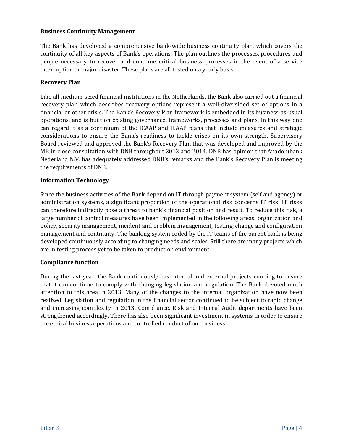#### **Business Continuity Management**

The Bank has developed a comprehensive bank-wide business continuity plan, which covers the continuity of all key aspects of Bank's operations. The plan outlines the processes, procedures and people necessary to recover and continue critical business processes in the event of a service interruption or major disaster. These plans are all tested on a yearly basis.

#### **Recovery Plan**

Like all medium-sized financial institutions in the Netherlands, the Bank also carried out a financial recovery plan which describes recovery options represent a well-diversified set of options in a financial or other crisis. The Bank's Recovery Plan framework is embedded in its business-as-usual operations, and is built on existing governance, frameworks, processes and plans. In this way one can regard it as a continuum of the ICAAP and ILAAP plans that include measures and strategic considerations to ensure the Bank's readiness to tackle crises on its own strength. Supervisory Board reviewed and approved the Bank's Recovery Plan that was developed and improved by the MB in close consultation with DNB throughout 2013 and 2014. DNB has opinion that Anadolubank Nederland N.V. has adequately addressed DNB's remarks and the Bank's Recovery Plan is meeting the requirements of DNB.

#### **Information Technology**

Since the business activities of the Bank depend on IT through payment system (self and agency) or administration systems, a significant proportion of the operational risk concerns IT risk. IT risks can therefore indirectly pose a threat to bank's financial position and result. To reduce this risk, a large number of control measures have been implemented in the following areas: organization and policy, security management, incident and problem management, testing, change and configuration management and continuity. The banking system coded by the IT teams of the parent bank is being developed continuously according to changing needs and scales. Still there are many projects which are in testing process yet to be taken to production environment.

#### **Compliance function**

During the last year, the Bank continuously has internal and external projects running to ensure that it can continue to comply with changing legislation and regulation. The Bank devoted much attention to this area in 2013. Many of the changes to the internal organization have now been realized. Legislation and regulation in the financial sector continued to be subject to rapid change and increasing complexity in 2013. Compliance, Risk and Internal Audit departments have been strengthened accordingly. There has also been significant investment in systems in order to ensure the ethical business operations and controlled conduct of our business.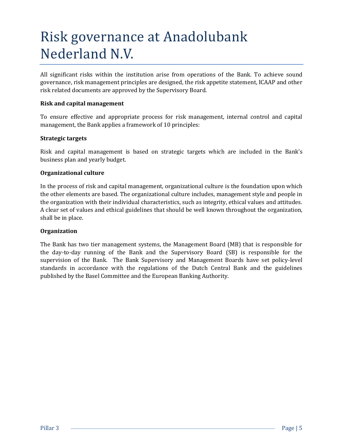## <span id="page-6-0"></span>Risk governance at Anadolubank Nederland N.V.

All significant risks within the institution arise from operations of the Bank. To achieve sound governance, risk management principles are designed, the risk appetite statement, ICAAP and other risk related documents are approved by the Supervisory Board.

#### **Risk and capital management**

To ensure effective and appropriate process for risk management, internal control and capital management, the Bank applies a framework of 10 principles:

#### **Strategic targets**

Risk and capital management is based on strategic targets which are included in the Bank's business plan and yearly budget.

#### **Organizational culture**

In the process of risk and capital management, organizational culture is the foundation upon which the other elements are based. The organizational culture includes, management style and people in the organization with their individual characteristics, such as integrity, ethical values and attitudes. A clear set of values and ethical guidelines that should be well known throughout the organization, shall be in place.

#### **Organization**

The Bank has two tier management systems, the Management Board (MB) that is responsible for the day-to-day running of the Bank and the Supervisory Board (SB) is responsible for the supervision of the Bank. The Bank Supervisory and Management Boards have set policy-level standards in accordance with the regulations of the Dutch Central Bank and the guidelines published by the Basel Committee and the European Banking Authority.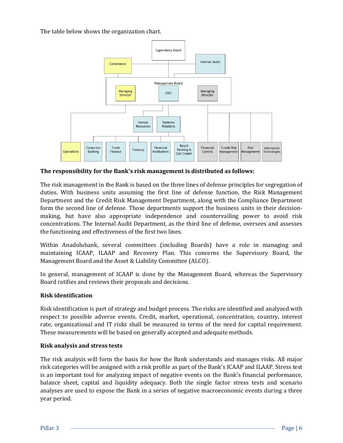The table below shows the organization chart.



**The responsibility for the Bank's risk management is distributed as follows:**

The risk management in the Bank is based on the three lines of defense principles for segregation of duties. With business units assuming the first line of defense function, the Risk Management Department and the Credit Risk Management Department, along with the Compliance Department form the second line of defense. Those departments support the business units in their decisionmaking, but have also appropriate independence and countervailing power to avoid risk concentrations. The Internal Audit Department, as the third line of defense, oversees and assesses the functioning and effectiveness of the first two lines.

Within Anadolubank, several committees (including Boards) have a role in managing and maintaining ICAAP, ILAAP and Recovery Plan. This concerns the Supervisory Board, the Management Board and the Asset & Liability Committee (ALCO).

In general, management of ICAAP is done by the Management Board, whereas the Supervisory Board ratifies and reviews their proposals and decisions.

#### **Risk identification**

Risk identification is part of strategy and budget process. The risks are identified and analyzed with respect to possible adverse events. Credit, market, operational, concentration, country, interest rate, organizational and IT risks shall be measured in terms of the need for capital requirement. These measurements will be based on generally accepted and adequate methods.

#### **Risk analysis and stress tests**

The risk analysis will form the basis for how the Bank understands and manages risks. All major risk categories will be assigned with a risk profile as part of the Bank's ICAAP and ILAAP. Stress test is an important tool for analyzing impact of negative events on the Bank's financial performance, balance sheet, capital and liquidity adequacy. Both the single factor stress tests and scenario analyses are used to expose the Bank in a series of negative macroeconomic events during a three year period.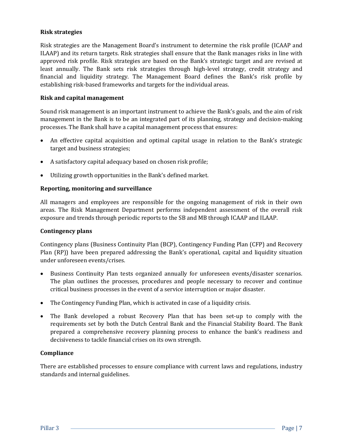#### **Risk strategies**

Risk strategies are the Management Board's instrument to determine the risk profile (ICAAP and ILAAP) and its return targets. Risk strategies shall ensure that the Bank manages risks in line with approved risk profile. Risk strategies are based on the Bank's strategic target and are revised at least annually. The Bank sets risk strategies through high-level strategy, credit strategy and financial and liquidity strategy. The Management Board defines the Bank's risk profile by establishing risk-based frameworks and targets for the individual areas.

#### **Risk and capital management**

Sound risk management is an important instrument to achieve the Bank's goals, and the aim of risk management in the Bank is to be an integrated part of its planning, strategy and decision-making processes. The Bank shall have a capital management process that ensures:

- An effective capital acquisition and optimal capital usage in relation to the Bank's strategic target and business strategies;
- A satisfactory capital adequacy based on chosen risk profile;
- Utilizing growth opportunities in the Bank's defined market.

#### **Reporting, monitoring and surveillance**

All managers and employees are responsible for the ongoing management of risk in their own areas. The Risk Management Department performs independent assessment of the overall risk exposure and trends through periodic reports to the SB and MB through ICAAP and ILAAP.

#### **Contingency plans**

Contingency plans (Business Continuity Plan (BCP), Contingency Funding Plan (CFP) and Recovery Plan (RP)) have been prepared addressing the Bank's operational, capital and liquidity situation under unforeseen events/crises.

- Business Continuity Plan tests organized annually for unforeseen events/disaster scenarios. The plan outlines the processes, procedures and people necessary to recover and continue critical business processes in the event of a service interruption or major disaster.
- The Contingency Funding Plan, which is activated in case of a liquidity crisis.
- The Bank developed a robust Recovery Plan that has been set-up to comply with the requirements set by both the Dutch Central Bank and the Financial Stability Board. The Bank prepared a comprehensive recovery planning process to enhance the bank's readiness and decisiveness to tackle financial crises on its own strength.

#### **Compliance**

There are established processes to ensure compliance with current laws and regulations, industry standards and internal guidelines.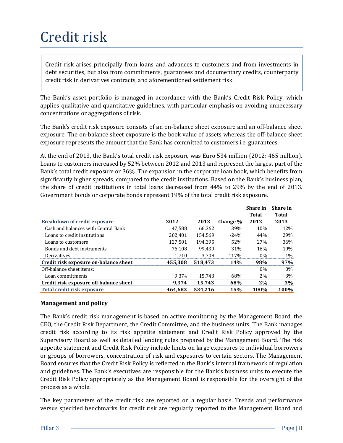## <span id="page-9-0"></span>Credit risk

Credit risk arises principally from loans and advances to customers and from investments in debt securities, but also from commitments, guarantees and documentary credits, counterparty credit risk in derivatives contracts, and aforementioned settlement risk.

The Bank's asset portfolio is managed in accordance with the Bank's Credit Risk Policy, which applies qualitative and quantitative guidelines, with particular emphasis on avoiding unnecessary concentrations or aggregations of risk.

The Bank's credit risk exposure consists of an on-balance sheet exposure and an off-balance sheet exposure. The on-balance sheet exposure is the book value of assets whereas the off-balance sheet exposure represents the amount that the Bank has committed to customers i.e. guarantees.

At the end of 2013, the Bank's total credit risk exposure was Euro 534 million (2012: 465 million). Loans to customers increased by 52% between 2012 and 2013 and represent the largest part of the Bank's total credit exposure or 36%. The expansion in the corporate loan book, which benefits from significantly higher spreads, compared to the credit institutions. Based on the Bank's business plan, the share of credit institutions in total loans decreased from 44% to 29% by the end of 2013. Government bonds or corporate bonds represent 19% of the total credit risk exposure.

|                                        |         |         |                 | Share in        | Share in |
|----------------------------------------|---------|---------|-----------------|-----------------|----------|
|                                        |         |         |                 | Total           | Total    |
| <b>Breakdown of credit exposure</b>    | 2012    | 2013    | Change %        | 2012            | 2013     |
| Cash and balances with Central Bank    | 47.588  | 66.362  | 39%             | 10%             | 12\%     |
| Loans to credit institutions           | 202.401 | 154.569 | $-24%$          | 44%             | 29%      |
| Loans to customers                     | 127,501 | 194.395 | 52%             | 27 <sub>%</sub> | 36%      |
| Bonds and debt instruments             | 76.108  | 99.439  | 31%             | 16%             | 19%      |
| Derivatives                            | 1.710   | 3.708   | 117%            | $0\%$           | $1\%$    |
| Credit risk exposure on-balance sheet  | 455,308 | 518.473 | 14 <sub>%</sub> | 98%             | 97%      |
| Off-balance sheet items:               |         |         |                 | $0\%$           | $0\%$    |
| Loan commitments                       | 9.374   | 15.743  | 68%             | 2%              | 3%       |
| Credit risk exposure off-balance sheet | 9.374   | 15.743  | 68%             | 2%              | 3%       |
| <b>Total credit risk exposure</b>      | 464.682 | 534.216 | 15%             | 100%            | 100%     |

#### **Management and policy**

The Bank's credit risk management is based on active monitoring by the Management Board, the CEO, the Credit Risk Department, the Credit Committee, and the business units. The Bank manages credit risk according to its risk appetite statement and Credit Risk Policy approved by the Supervisory Board as well as detailed lending rules prepared by the Management Board. The risk appetite statement and Credit Risk Policy include limits on large exposures to individual borrowers or groups of borrowers, concentration of risk and exposures to certain sectors. The Management Board ensures that the Credit Risk Policy is reflected in the Bank's internal framework of regulation and guidelines. The Bank's executives are responsible for the Bank's business units to execute the Credit Risk Policy appropriately as the Management Board is responsible for the oversight of the process as a whole. Frankforom of credit risk are regular to the Mank specified benchmarks for credit risk are regularly reported to the Management Board and policy and the Management STAT 110 3.7024 1496 44% 47,588 66,362 39% 44% 42% 20% 44%

The key parameters of the credit risk are reported on a regular basis. Trends and performance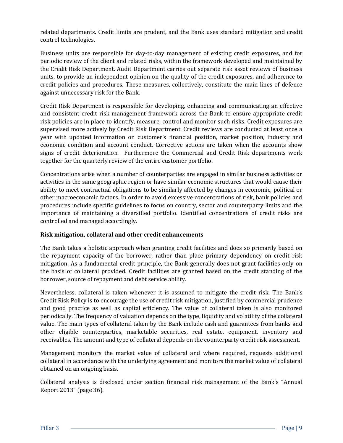related departments. Credit limits are prudent, and the Bank uses standard mitigation and credit control technologies.

Business units are responsible for day-to-day management of existing credit exposures, and for periodic review of the client and related risks, within the framework developed and maintained by the Credit Risk Department. Audit Department carries out separate risk asset reviews of business units, to provide an independent opinion on the quality of the credit exposures, and adherence to credit policies and procedures. These measures, collectively, constitute the main lines of defence against unnecessary risk for the Bank.

Credit Risk Department is responsible for developing, enhancing and communicating an effective and consistent credit risk management framework across the Bank to ensure appropriate credit risk policies are in place to identify, measure, control and monitor such risks. Credit exposures are supervised more actively by Credit Risk Department. Credit reviews are conducted at least once a year with updated information on customer's financial position, market position, industry and economic condition and account conduct. Corrective actions are taken when the accounts show signs of credit deterioration. Furthermore the Commercial and Credit Risk departments work together for the quarterly review of the entire customer portfolio.

Concentrations arise when a number of counterparties are engaged in similar business activities or activities in the same geographic region or have similar economic structures that would cause their ability to meet contractual obligations to be similarly affected by changes in economic, political or other macroeconomic factors. In order to avoid excessive concentrations of risk, bank policies and procedures include specific guidelines to focus on country, sector and counterparty limits and the importance of maintaining a diversified portfolio. Identified concentrations of credit risks are controlled and managed accordingly.

#### **Risk mitigation, collateral and other credit enhancements**

The Bank takes a holistic approach when granting credit facilities and does so primarily based on the repayment capacity of the borrower, rather than place primary dependency on credit risk mitigation. As a fundamental credit principle, the Bank generally does not grant facilities only on the basis of collateral provided. Credit facilities are granted based on the credit standing of the borrower, source of repayment and debt service ability.

Nevertheless, collateral is taken whenever it is assumed to mitigate the credit risk. The Bank's Credit Risk Policy is to encourage the use of credit risk mitigation, justified by commercial prudence and good practice as well as capital efficiency. The value of collateral taken is also monitored periodically. The frequency of valuation depends on the type, liquidity and volatility of the collateral value. The main types of collateral taken by the Bank include cash and guarantees from banks and other eligible counterparties, marketable securities, real estate, equipment, inventory and receivables. The amount and type of collateral depends on the counterparty credit risk assessment.

Management monitors the market value of collateral and where required, requests additional collateral in accordance with the underlying agreement and monitors the market value of collateral obtained on an ongoing basis.

Collateral analysis is disclosed under section financial risk management of the Bank's "Annual Report 2013" (page 36).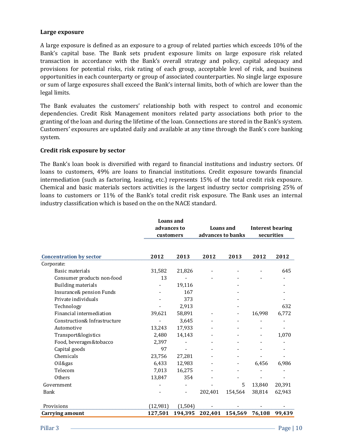#### **Large exposure**

A large exposure is defined as an exposure to a group of related parties which exceeds 10% of the Bank's capital base. The Bank sets prudent exposure limits on large exposure risk related transaction in accordance with the Bank's overall strategy and policy, capital adequacy and provisions for potential risks, risk rating of each group, acceptable level of risk, and business opportunities in each counterparty or group of associated counterparties. No single large exposure or sum of large exposures shall exceed the Bank's internal limits, both of which are lower than the legal limits.

The Bank evaluates the customers' relationship both with respect to control and economic dependencies. Credit Risk Management monitors related party associations both prior to the granting of the loan and during the lifetime of the loan. Connections are stored in the Bank's system. Customers' exposures are updated daily and available at any time through the Bank's core banking system.

#### **Credit risk exposure by sector**

The Bank's loan book is diversified with regard to financial institutions and industry sectors. Of loans to customers, 49% are loans to financial institutions. Credit exposure towards financial intermediation (such as factoring, leasing, etc.) represents 15% of the total credit risk exposure. Chemical and basic materials sectors activities is the largest industry sector comprising 25% of loans to customers or 11% of the Bank's total credit risk exposure. The Bank uses an internal industry classification which is based on the on the NACE standard.

|                                |          | <b>Loans</b> and<br>advances to<br>customers |         | <b>Loans</b> and<br>advances to banks |        | <b>Interest bearing</b><br>securities |  |
|--------------------------------|----------|----------------------------------------------|---------|---------------------------------------|--------|---------------------------------------|--|
| <b>Concentration by sector</b> | 2012     | 2013                                         | 2012    | 2013                                  | 2012   | 2012                                  |  |
| Corporate:                     |          |                                              |         |                                       |        |                                       |  |
| Basic materials                | 31,582   | 21,826                                       |         |                                       |        | 645                                   |  |
| Consumer products non-food     | 13       |                                              |         |                                       |        |                                       |  |
| <b>Building materials</b>      |          | 19,116                                       |         |                                       |        |                                       |  |
| Insurance& pension Funds       |          | 167                                          |         |                                       |        |                                       |  |
| Private individuals            |          | 373                                          |         |                                       |        |                                       |  |
| Technology                     |          | 2,913                                        |         |                                       |        | 632                                   |  |
| Financial intermediation       | 39,621   | 58,891                                       |         | -                                     | 16,998 | 6,772                                 |  |
| Construction& Infrastructure   |          | 3,645                                        |         |                                       |        |                                       |  |
| Automotive                     | 13,243   | 17,933                                       |         |                                       |        |                                       |  |
| Transport&logistics            | 2,480    | 14,143                                       |         |                                       |        | 1,070                                 |  |
| Food, beverages&tobacco        | 2,397    |                                              |         |                                       |        |                                       |  |
| Capital goods                  | 97       |                                              |         |                                       |        |                                       |  |
| Chemicals                      | 23,756   | 27,281                                       |         |                                       |        |                                       |  |
| Oil&gas                        | 6,433    | 12,983                                       |         |                                       | 6,456  | 6,986                                 |  |
| Telecom                        | 7,013    | 16,275                                       |         |                                       |        |                                       |  |
| Others                         | 13,847   | 354                                          |         |                                       |        |                                       |  |
| Government                     |          |                                              |         | 5                                     | 13,840 | 20,391                                |  |
| <b>Bank</b>                    |          |                                              | 202,401 | 154,564                               | 38,814 | 62,943                                |  |
| Provisions                     | (12,981) | (1, 504)                                     |         |                                       |        |                                       |  |
| Carrying amount                | 127,501  | 194,395                                      |         | 202,401 154,569                       | 76,108 | 99,439                                |  |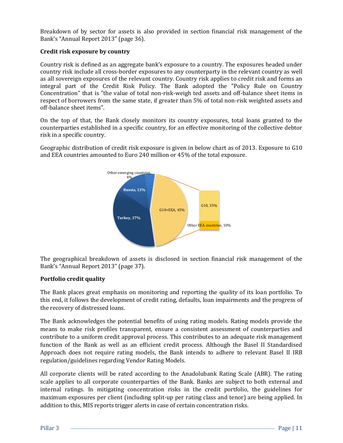Breakdown of by sector for assets is also provided in section financial risk management of the Bank's "Annual Report 2013" (page 36).

#### **Credit risk exposure by country**

Country risk is defined as an aggregate bank's exposure to a country. The exposures headed under country risk include all cross-border exposures to any counterparty in the relevant country as well as all sovereign exposures of the relevant country. Country risk applies to credit risk and forms an integral part of the Credit Risk Policy. The Bank adopted the "Policy Rule on Country Concentration" that is "the value of total non-risk-weigh ted assets and off-balance sheet items in respect of borrowers from the same state, if greater than 5% of total non-risk weighted assets and off-balance sheet items".

On the top of that, the Bank closely monitors its country exposures, total loans granted to the counterparties established in a specific country, for an effective monitoring of the collective debtor risk in a specific country.

Geographic distribution of credit risk exposure is given in below chart as of 2013. Exposure to G10 and EEA countries amounted to Euro 240 million or 45% of the total exposure.



The geographical breakdown of assets is disclosed in section financial risk management of the Bank's "Annual Report 2013" (page 37).

#### **Portfolio credit quality**

The Bank places great emphasis on monitoring and reporting the quality of its loan portfolio. To this end, it follows the development of credit rating, defaults, loan impairments and the progress of the recovery of distressed loans.

The Bank acknowledges the potential benefits of using rating models. Rating models provide the means to make risk profiles transparent, ensure a consistent assessment of counterparties and contribute to a uniform credit approval process. This contributes to an adequate risk management function of the Bank as well as an efficient credit process. Although the Basel II Standardised Approach does not require rating models, the Bank intends to adhere to relevant Basel II IRB regulation/guidelines regarding Vendor Rating Models.

All corporate clients will be rated according to the Anadolubank Rating Scale (ABR). The rating scale applies to all corporate counterparties of the Bank. Banks are subject to both external and internal ratings. In mitigating concentration risks in the credit portfolio, the guidelines for maximum exposures per client (including split-up per rating class and tenor) are being applied. In addition to this, MIS reports trigger alerts in case of certain concentration risks.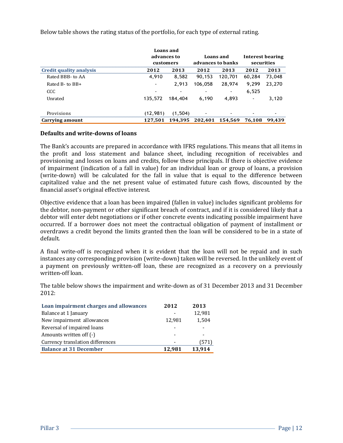Below table shows the rating status of the portfolio, for each type of external rating.

|                         |           | Loans and<br>advances to<br>Loans and<br>advances to banks<br>customers |         |         |        |        |  | Interest bearing<br>securities |
|-------------------------|-----------|-------------------------------------------------------------------------|---------|---------|--------|--------|--|--------------------------------|
| Credit quality analysis | 2012      | 2013                                                                    | 2012    | 2013    | 2012   | 2013   |  |                                |
| Rated BBB-to AA         | 4.910     | 8.582                                                                   | 90.153  | 120,701 | 60,284 | 73.048 |  |                                |
| Rated B-to BB+          |           | 2.913                                                                   | 106,058 | 28,974  | 9,299  | 23,270 |  |                                |
| CCC                     |           |                                                                         |         |         | 6,525  |        |  |                                |
| Unrated                 | 135.572   | 184.404                                                                 | 6.190   | 4,893   |        | 3,120  |  |                                |
| Provisions              | (12, 981) | (1, 504)                                                                |         |         |        |        |  |                                |
| Carrying amount         | 127.501   | 194.395                                                                 | 202.401 | 154.569 | 76.108 | 99.439 |  |                                |

#### **Defaults and write-downs of loans**

The Bank's accounts are prepared in accordance with IFRS regulations. This means that all items in the profit and loss statement and balance sheet, including recognition of receivables and provisioning and losses on loans and credits, follow these principals. If there is objective evidence of impairment (indication of a fall in value) for an individual loan or group of loans, a provision (write-down) will be calculated for the fall in value that is equal to the difference between capitalized value and the net present value of estimated future cash flows, discounted by the financial asset's original effective interest.

Objective evidence that a loan has been impaired (fallen in value) includes significant problems for the debtor, non-payment or other significant breach of contract, and if it is considered likely that a debtor will enter debt negotiations or if other concrete events indicating possible impairment have occurred. If a borrower does not meet the contractual obligation of payment of installment or overdraws a credit beyond the limits granted then the loan will be considered to be in a state of default.

A final write-off is recognized when it is evident that the loan will not be repaid and in such instances any corresponding provision (write-down) taken will be reversed. In the unlikely event of a payment on previously written-off loan, these are recognized as a recovery on a previously written-off loan.

The table below shows the impairment and write-down as of 31 December 2013 and 31 December 2012:

| Loan impairment charges and allowances | 2012                     | 2013   |
|----------------------------------------|--------------------------|--------|
| Balance at 1 January                   |                          | 12,981 |
| New impairment allowances              | 12,981                   | 1,504  |
| Reversal of impaired loans             | -                        |        |
| Amounts written off $(-)$              | $\overline{\phantom{0}}$ |        |
| Currency translation differences       | -                        | (571)  |
| <b>Balance at 31 December</b>          | 12,981                   | 13,914 |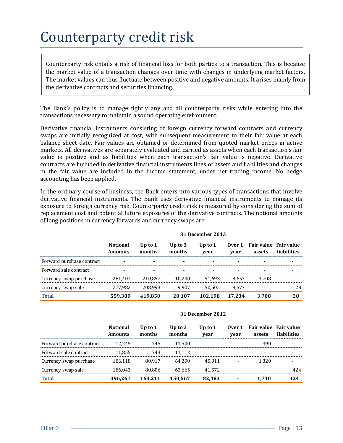### <span id="page-14-0"></span>Counterparty credit risk

Counterparty risk entails a risk of financial loss for both parties to a transaction. This is because the market value of a transaction changes over time with changes in underlying market factors. The market values can thus fluctuate between positive and negative amounts. It arises mainly from the derivative contracts and securities financing.

The Bank's policy is to manage tightly any and all counterparty risks while entering into the transactions necessary to maintain a sound operating environment.

Derivative financial instruments consisting of foreign currency forward contracts and currency swaps are initially recognized at cost, with subsequent measurement to their fair value at each balance sheet date. Fair values are obtained or determined from quoted market prices in active markets. All derivatives are separately evaluated and carried as assets when each transaction's fair value is positive and as liabilities when each transaction's fair value is negative. Derivative contracts are included in derivative financial instruments lines of assets and liabilities and changes in the fair value are included in the income statement, under net trading income. No hedge accounting has been applied.

In the ordinary course of business, the Bank enters into various types of transactions that involve derivative financial instruments. The Bank uses derivative financial instruments to manage its exposure to foreign currency risk. Counterparty credit risk is measured by considering the sum of replacement cost and potential future exposures of the derivative contracts. The notional amounts of long positions in currency forwards and currency swaps are:

|                           | <b>Notional</b><br><b>Amounts</b> | Up to $1$<br>months | Up to $3$<br>months | Up to 1<br>vear | Over 1<br>vear | assets | Fair value Fair value<br>liabilities |
|---------------------------|-----------------------------------|---------------------|---------------------|-----------------|----------------|--------|--------------------------------------|
| Forward purchase contract |                                   |                     |                     |                 |                |        |                                      |
| Forward sale contract     |                                   |                     |                     |                 |                |        |                                      |
| Currency swap purchase    | 281.407                           | 210.857             | 10.200              | 51,693          | 8.657          | 3.708  |                                      |
| Currency swap sale        | 277.982                           | 208.993             | 9.907               | 50.505          | 8.577          |        | 28                                   |
| <b>Total</b>              | 559.389                           | 419.850             | 20.107              | 102.198         | 17.234         | 3.708  | 28                                   |

#### **31 December 2013**

#### **31 December 2012**

|                           | <b>Notional</b><br><b>Amounts</b> | Up to $1$<br>months | Up to $3$<br>months | Up to $1$<br>vear | Over 1<br>vear | Fair value Fair value<br>assets | liabilities |
|---------------------------|-----------------------------------|---------------------|---------------------|-------------------|----------------|---------------------------------|-------------|
| Forward purchase contract | 12.245                            | 745                 | 11.500              |                   |                | 390                             |             |
| Forward sale contract     | 11.855                            | 743                 | 11.112              |                   |                |                                 |             |
| Currency swap purchase    | 186.118                           | 80.917              | 64.290              | 40.911            |                | 1.320                           |             |
| Currency swap sale        | 186.043                           | 80.806              | 63.665              | 41.572            |                |                                 | 424         |
| <b>Total</b>              | 396.261                           | 163.211             | 150.567             | 82.483            |                | 1.710                           | 424         |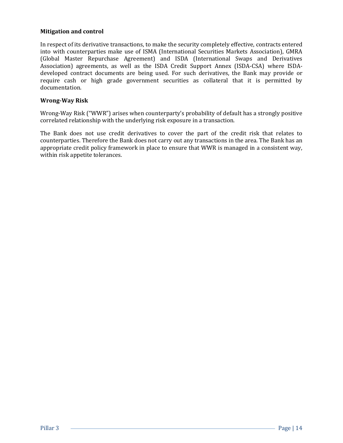#### **Mitigation and control**

In respect of its derivative transactions, to make the security completely effective, contracts entered into with counterparties make use of ISMA (International Securities Markets Association), GMRA (Global Master Repurchase Agreement) and ISDA (International Swaps and Derivatives Association) agreements, as well as the ISDA Credit Support Annex (ISDA-CSA) where ISDAdeveloped contract documents are being used. For such derivatives, the Bank may provide or require cash or high grade government securities as collateral that it is permitted by documentation.

#### **Wrong-Way Risk**

Wrong-Way Risk ("WWR") arises when counterparty's probability of default has a strongly positive correlated relationship with the underlying risk exposure in a transaction.

The Bank does not use credit derivatives to cover the part of the credit risk that relates to counterparties. Therefore the Bank does not carry out any transactions in the area. The Bank has an appropriate credit policy framework in place to ensure that WWR is managed in a consistent way, within risk appetite tolerances.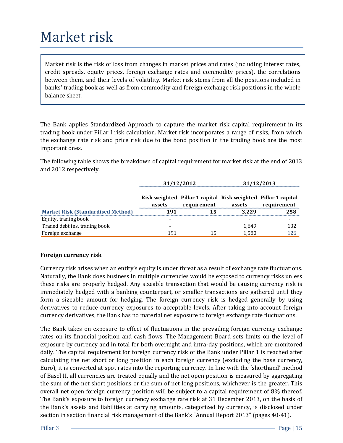### <span id="page-16-0"></span>Market risk

Market risk is the risk of loss from changes in market prices and rates (including interest rates, credit spreads, equity prices, foreign exchange rates and commodity prices), the correlations between them, and their levels of volatility. Market risk stems from all the positions included in banks' trading book as well as from commodity and foreign exchange risk positions in the whole balance sheet.

The Bank applies Standardized Approach to capture the market risk capital requirement in its trading book under Pillar I risk calculation. Market risk incorporates a range of risks, from which the exchange rate risk and price risk due to the bond position in the trading book are the most important ones.

The following table shows the breakdown of capital requirement for market risk at the end of 2013 and 2012 respectively.

|                                          | 31/12/2012 |                                                                              |        | 31/12/2013  |
|------------------------------------------|------------|------------------------------------------------------------------------------|--------|-------------|
|                                          | assets     | Risk weighted Pillar 1 capital Risk weighted Pillar 1 capital<br>requirement | assets | requirement |
| <b>Market Risk (Standardised Method)</b> | 191        | 15                                                                           | 3.229  | 258         |
| Equity, trading book                     |            |                                                                              |        |             |
| Traded debt ins. trading book            |            |                                                                              | 1.649  | 132         |
| Foreign exchange                         | 191        |                                                                              | 1,580  | 126         |

#### **Foreign currency risk**

Currency risk arises when an entity's equity is under threat as a result of exchange rate fluctuations. Naturally, the Bank does business in multiple currencies would be exposed to currency risks unless these risks are properly hedged. Any sizeable transaction that would be causing currency risk is immediately hedged with a banking counterpart, or smaller transactions are gathered until they form a sizeable amount for hedging. The foreign currency risk is hedged generally by using derivatives to reduce currency exposures to acceptable levels. After taking into account foreign currency derivatives, the Bank has no material net exposure to foreign exchange rate fluctuations.

The Bank takes on exposure to effect of fluctuations in the prevailing foreign currency exchange rates on its financial position and cash flows. The Management Board sets limits on the level of exposure by currency and in total for both overnight and intra-day positions, which are monitored daily. The capital requirement for foreign currency risk of the Bank under Pillar 1 is reached after calculating the net short or long position in each foreign currency (excluding the base currency, Euro), it is converted at spot rates into the reporting currency. In line with the 'shorthand' method of Basel II, all currencies are treated equally and the net open position is measured by aggregating the sum of the net short positions or the sum of net long positions, whichever is the greater. This overall net open foreign currency position will be subject to a capital requirement of 8% thereof. The Bank's exposure to foreign currency exchange rate risk at 31 December 2013, on the basis of the Bank's assets and liabilities at carrying amounts, categorized by currency, is disclosed under section in section financial risk management of the Bank's "Annual Report 2013" (pages 40-41).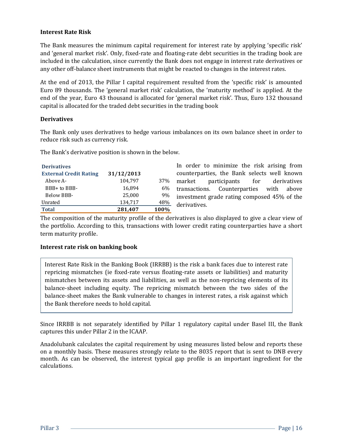#### **Interest Rate Risk**

The Bank measures the minimum capital requirement for interest rate by applying 'specific risk' and 'general market risk'. Only, fixed-rate and floating-rate debt securities in the trading book are included in the calculation, since currently the Bank does not engage in interest rate derivatives or any other off-balance sheet instruments that might be reacted to changes in the interest rates.

At the end of 2013, the Pillar I capital requirement resulted from the 'specific risk' is amounted Euro 89 thousands. The 'general market risk' calculation, the 'maturity method' is applied. At the end of the year, Euro 43 thousand is allocated for 'general market risk'. Thus, Euro 132 thousand capital is allocated for the traded debt securities in the trading book

#### **Derivatives**

The Bank only uses derivatives to hedge various imbalances on its own balance sheet in order to reduce risk such as currency risk.

The Bank's derivative position is shown in the below.

| <b>Derivatives</b>            |            |      |
|-------------------------------|------------|------|
| <b>External Credit Rating</b> | 31/12/2013 |      |
| Above A-                      | 104,797    | 37%  |
| BBB+ to BBB-                  | 16,894     | 6%   |
| Below BBB-                    | 25,000     | 9%   |
| Unrated                       | 134,717    | 48%  |
| <b>Total</b>                  | 281,407    | 100% |

In order to minimize the risk arising from counterparties, the Bank selects well known market participants for derivatives transactions. Counterparties with above investment grade rating composed 45% of the derivatives.

The composition of the maturity profile of the derivatives is also displayed to give a clear view of the portfolio. According to this, transactions with lower credit rating counterparties have a short term maturity profile.

#### **Interest rate risk on banking book**

Interest Rate Risk in the Banking Book (IRRBB) is the risk a bank faces due to interest rate repricing mismatches (ie fixed-rate versus floating-rate assets or liabilities) and maturity mismatches between its assets and liabilities, as well as the non-repricing elements of its balance‐sheet including equity. The repricing mismatch between the two sides of the balance‐sheet makes the Bank vulnerable to changes in interest rates, a risk against which the Bank therefore needs to hold capital.

Since IRRBB is not separately identified by Pillar 1 regulatory capital under Basel III, the Bank captures this under Pillar 2 in the ICAAP.

Anadolubank calculates the capital requirement by using measures listed below and reports these on a monthly basis. These measures strongly relate to the 8035 report that is sent to DNB every month. As can be observed, the interest typical gap profile is an important ingredient for the calculations.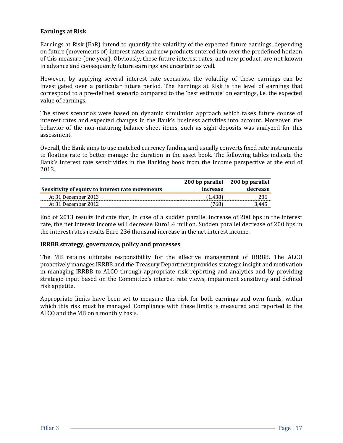#### **Earnings at Risk**

Earnings at Risk (EaR) intend to quantify the volatility of the expected future earnings, depending on future (movements of) interest rates and new products entered into over the predefined horizon of this measure (one year). Obviously, these future interest rates, and new product, are not known in advance and consequently future earnings are uncertain as well.

However, by applying several interest rate scenarios, the volatility of these earnings can be investigated over a particular future period. The Earnings at Risk is the level of earnings that correspond to a pre-defined scenario compared to the 'best estimate' on earnings, i.e. the expected value of earnings.

The stress scenarios were based on dynamic simulation approach which takes future course of interest rates and expected changes in the Bank's business activities into account. Moreover, the behavior of the non-maturing balance sheet items, such as sight deposits was analyzed for this assessment.

Overall, the Bank aims to use matched currency funding and usually converts fixed rate instruments to floating rate to better manage the duration in the asset book. The following tables indicate the Bank's interest rate sensitivities in the Banking book from the income perspective at the end of 2013.

|                                                  | 200 bp parallel 200 bp parallel |          |
|--------------------------------------------------|---------------------------------|----------|
| Sensitivity of equity to interest rate movements | increase                        | decrease |
| At 31 December 2013                              | (1.438)                         | 236      |
| At 31 December 2012                              | 768)                            | 3.445    |

End of 2013 results indicate that, in case of a sudden parallel increase of 200 bps in the interest rate, the net interest income will decrease Euro1.4 million. Sudden parallel decrease of 200 bps in the interest rates results Euro 236 thousand increase in the net interest income.

#### **IRRBB strategy, governance, policy and processes**

The MB retains ultimate responsibility for the effective management of IRRBB. The ALCO proactively manages IRRBB and the Treasury Department provides strategic insight and motivation in managing IRRBB to ALCO through appropriate risk reporting and analytics and by providing strategic input based on the Committee's interest rate views, impairment sensitivity and defined risk appetite.

Appropriate limits have been set to measure this risk for both earnings and own funds, within which this risk must be managed. Compliance with these limits is measured and reported to the ALCO and the MB on a monthly basis.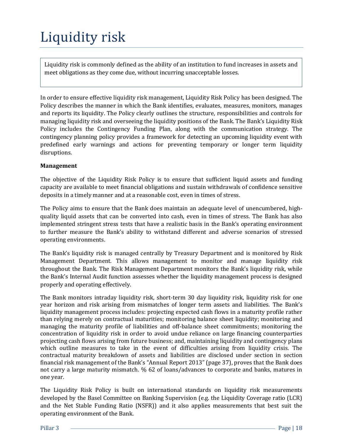## <span id="page-19-0"></span>Liquidity risk

Liquidity risk is commonly defined as the ability of an institution to fund increases in assets and meet obligations as they come due, without incurring unacceptable losses.

In order to ensure effective liquidity risk management, Liquidity Risk Policy has been designed. The Policy describes the manner in which the Bank identifies, evaluates, measures, monitors, manages and reports its liquidity. The Policy clearly outlines the structure, responsibilities and controls for managing liquidity risk and overseeing the liquidity positions of the Bank. The Bank's Liquidity Risk Policy includes the Contingency Funding Plan, along with the communication strategy. The contingency planning policy provides a framework for detecting an upcoming liquidity event with predefined early warnings and actions for preventing temporary or longer term liquidity disruptions.

#### **Management**

The objective of the Liquidity Risk Policy is to ensure that sufficient liquid assets and funding capacity are available to meet financial obligations and sustain withdrawals of confidence sensitive deposits in a timely manner and at a reasonable cost, even in times of stress.

The Policy aims to ensure that the Bank does maintain an adequate level of unencumbered, highquality liquid assets that can be converted into cash, even in times of stress. The Bank has also implemented stringent stress tests that have a realistic basis in the Bank's operating environment to further measure the Bank's ability to withstand different and adverse scenarios of stressed operating environments.

The Bank's liquidity risk is managed centrally by Treasury Department and is monitored by Risk Management Department. This allows management to monitor and manage liquidity risk throughout the Bank. The Risk Management Department monitors the Bank's liquidity risk, while the Bank's Internal Audit function assesses whether the liquidity management process is designed properly and operating effectively.

The Bank monitors intraday liquidity risk, short-term 30 day liquidity risk, liquidity risk for one year horizon and risk arising from mismatches of longer term assets and liabilities. The Bank's liquidity management process includes: projecting expected cash flows in a maturity profile rather than relying merely on contractual maturities; monitoring balance sheet liquidity; monitoring and managing the maturity profile of liabilities and off-balance sheet commitments; monitoring the concentration of liquidity risk in order to avoid undue reliance on large financing counterparties projecting cash flows arising from future business; and, maintaining liquidity and contingency plans which outline measures to take in the event of difficulties arising from liquidity crisis. The contractual maturity breakdown of assets and liabilities are disclosed under section in section financial risk management of the Bank's "Annual Report 2013" (page 37), proves that the Bank does not carry a large maturity mismatch. % 62 of loans/advances to corporate and banks, matures in one year.

The Liquidity Risk Policy is built on international standards on liquidity risk measurements developed by the Basel Committee on Banking Supervision (e.g. the Liquidity Coverage ratio (LCR) and the Net Stable Funding Ratio (NSFR)) and it also applies measurements that best suit the operating environment of the Bank.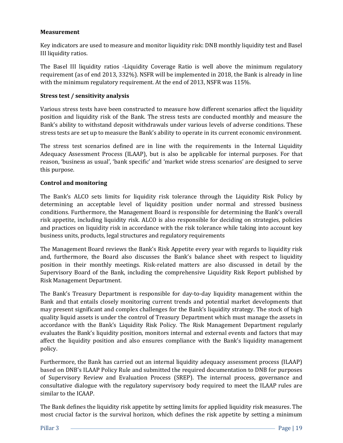#### **Measurement**

Key indicators are used to measure and monitor liquidity risk: DNB monthly liquidity test and Basel III liquidity ratios.

The Basel III liquidity ratios -Liquidity Coverage Ratio is well above the minimum regulatory requirement (as of end 2013, 332%). NSFR will be implemented in 2018, the Bank is already in line with the minimum regulatory requirement. At the end of 2013, NSFR was 115%.

#### **Stress test / sensitivity analysis**

Various stress tests have been constructed to measure how different scenarios affect the liquidity position and liquidity risk of the Bank. The stress tests are conducted monthly and measure the Bank's ability to withstand deposit withdrawals under various levels of adverse conditions. These stress tests are set up to measure the Bank's ability to operate in its current economic environment.

The stress test scenarios defined are in line with the requirements in the Internal Liquidity Adequacy Assessment Process (ILAAP), but is also be applicable for internal purposes. For that reason, 'business as usual', 'bank specific' and 'market wide stress scenarios' are designed to serve this purpose.

#### **Control and monitoring**

The Bank's ALCO sets limits for liquidity risk tolerance through the Liquidity Risk Policy by determining an acceptable level of liquidity position under normal and stressed business conditions. Furthermore, the Management Board is responsible for determining the Bank's overall risk appetite, including liquidity risk. ALCO is also responsible for deciding on strategies, policies and practices on liquidity risk in accordance with the risk tolerance while taking into account key business units, products, legal structures and regulatory requirements

The Management Board reviews the Bank's Risk Appetite every year with regards to liquidity risk and, furthermore, the Board also discusses the Bank's balance sheet with respect to liquidity position in their monthly meetings. Risk-related matters are also discussed in detail by the Supervisory Board of the Bank, including the comprehensive Liquidity Risk Report published by Risk Management Department.

The Bank's Treasury Department is responsible for day-to-day liquidity management within the Bank and that entails closely monitoring current trends and potential market developments that may present significant and complex challenges for the Bank's liquidity strategy. The stock of high quality liquid assets is under the control of Treasury Department which must manage the assets in accordance with the Bank's Liquidity Risk Policy. The Risk Management Department regularly evaluates the Bank's liquidity position, monitors internal and external events and factors that may affect the liquidity position and also ensures compliance with the Bank's liquidity management policy.

Furthermore, the Bank has carried out an internal liquidity adequacy assessment process (ILAAP) based on DNB's ILAAP Policy Rule and submitted the required documentation to DNB for purposes of Supervisory Review and Evaluation Process (SREP). The internal process, governance and consultative dialogue with the regulatory supervisory body required to meet the ILAAP rules are similar to the ICAAP.

The Bank defines the liquidity risk appetite by setting limits for applied liquidity risk measures. The most crucial factor is the survival horizon, which defines the risk appetite by setting a minimum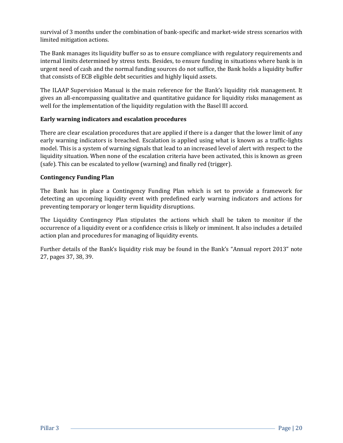survival of 3 months under the combination of bank-specific and market-wide stress scenarios with limited mitigation actions.

The Bank manages its liquidity buffer so as to ensure compliance with regulatory requirements and internal limits determined by stress tests. Besides, to ensure funding in situations where bank is in urgent need of cash and the normal funding sources do not suffice, the Bank holds a liquidity buffer that consists of ECB eligible debt securities and highly liquid assets.

The ILAAP Supervision Manual is the main reference for the Bank's liquidity risk management. It gives an all-encompassing qualitative and quantitative guidance for liquidity risks management as well for the implementation of the liquidity regulation with the Basel III accord.

#### **Early warning indicators and escalation procedures**

There are clear escalation procedures that are applied if there is a danger that the lower limit of any early warning indicators is breached. Escalation is applied using what is known as a traffic-lights model. This is a system of warning signals that lead to an increased level of alert with respect to the liquidity situation. When none of the escalation criteria have been activated, this is known as green (safe). This can be escalated to yellow (warning) and finally red (trigger).

#### **Contingency Funding Plan**

The Bank has in place a Contingency Funding Plan which is set to provide a framework for detecting an upcoming liquidity event with predefined early warning indicators and actions for preventing temporary or longer term liquidity disruptions.

The Liquidity Contingency Plan stipulates the actions which shall be taken to monitor if the occurrence of a liquidity event or a confidence crisis is likely or imminent. It also includes a detailed action plan and procedures for managing of liquidity events.

Further details of the Bank's liquidity risk may be found in the Bank's "Annual report 2013" note 27, pages 37, 38, 39.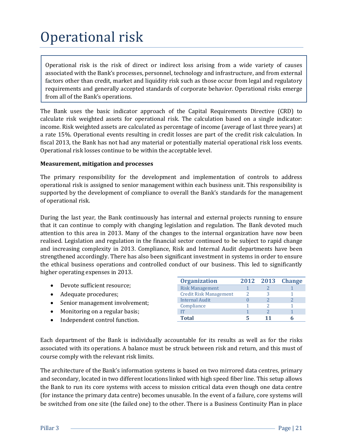## <span id="page-22-0"></span>Operational risk

Operational risk is the risk of direct or indirect loss arising from a wide variety of causes associated with the Bank's processes, personnel, technology and infrastructure, and from external factors other than credit, market and liquidity risk such as those occur from legal and regulatory requirements and generally accepted standards of corporate behavior. Operational risks emerge from all of the Bank's operations.

The Bank uses the basic indicator approach of the Capital Requirements Directive (CRD) to calculate risk weighted assets for operational risk. The calculation based on a single indicator: income. Risk weighted assets are calculated as percentage of income (average of last three years) at a rate 15%. Operational events resulting in credit losses are part of the credit risk calculation. In fiscal 2013, the Bank has not had any material or potentially material operational risk loss events. Operational risk losses continue to be within the acceptable level.

#### **Measurement, mitigation and processes**

The primary responsibility for the development and implementation of controls to address operational risk is assigned to senior management within each business unit. This responsibility is supported by the development of compliance to overall the Bank's standards for the management of operational risk.

During the last year, the Bank continuously has internal and external projects running to ensure that it can continue to comply with changing legislation and regulation. The Bank devoted much attention to this area in 2013. Many of the changes to the internal organization have now been realised. Legislation and regulation in the financial sector continued to be subject to rapid change and increasing complexity in 2013. Compliance, Risk and Internal Audit departments have been strengthened accordingly. There has also been significant investment in systems in order to ensure the ethical business operations and controlled conduct of our business. This led to significantly higher operating expenses in 2013.

|                                | <b>Organization</b>           | 2012 2013 | <b>Change</b> |
|--------------------------------|-------------------------------|-----------|---------------|
| Devote sufficient resource;    | <b>Risk Management</b>        |           |               |
| Adequate procedures;           | <b>Credit Risk Management</b> |           |               |
| Senior management involvement; | <b>Internal Audit</b>         |           |               |
|                                | Compliance                    |           |               |
| Monitoring on a regular basis; |                               |           |               |
| Independent control function.  | Total                         |           |               |

Each department of the Bank is individually accountable for its results as well as for the risks associated with its operations. A balance must be struck between risk and return, and this must of course comply with the relevant risk limits.

The architecture of the Bank's information systems is based on two mirrored data centres, primary and secondary, located in two different locations linked with high speed fiber line. This setup allows the Bank to run its core systems with access to mission critical data even though one data centre (for instance the primary data centre) becomes unusable. In the event of a failure, core systems will be switched from one site (the failed one) to the other. There is a Business Continuity Plan in place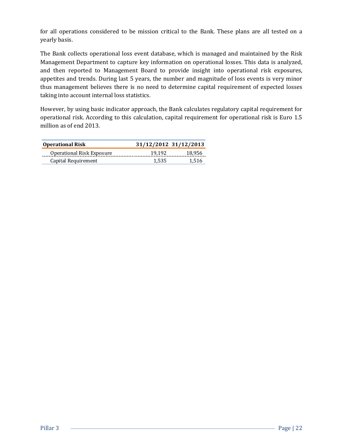for all operations considered to be mission critical to the Bank. These plans are all tested on a yearly basis.

The Bank collects operational loss event database, which is managed and maintained by the Risk Management Department to capture key information on operational losses. This data is analyzed, and then reported to Management Board to provide insight into operational risk exposures, appetites and trends. During last 5 years, the number and magnitude of loss events is very minor thus management believes there is no need to determine capital requirement of expected losses taking into account internal loss statistics.

However, by using basic indicator approach, the Bank calculates regulatory capital requirement for operational risk. According to this calculation, capital requirement for operational risk is Euro 1.5 million as of end 2013.

| <b>Operational Risk</b>   | 31/12/2012 31/12/2013 |        |
|---------------------------|-----------------------|--------|
| Operational Risk Exposure | 19.192                | 18,956 |
| Capital Requirement       | 1.535                 | 1.516  |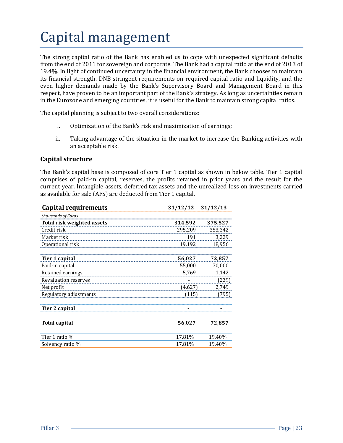## <span id="page-24-0"></span>Capital management

The strong capital ratio of the Bank has enabled us to cope with unexpected significant defaults from the end of 2011 for sovereign and corporate. The Bank had a capital ratio at the end of 2013 of 19.4%. In light of continued uncertainty in the financial environment, the Bank chooses to maintain its financial strength. DNB stringent requirements on required capital ratio and liquidity, and the even higher demands made by the Bank's Supervisory Board and Management Board in this respect, have proven to be an important part of the Bank's strategy. As long as uncertainties remain in the Eurozone and emerging countries, it is useful for the Bank to maintain strong capital ratios.

The capital planning is subject to two overall considerations:

- i. Optimization of the Bank's risk and maximization of earnings;
- ii. Taking advantage of the situation in the market to increase the Banking activities with an acceptable risk.

#### **Capital structure**

The Bank's capital base is composed of core Tier 1 capital as shown in below table. Tier 1 capital comprises of paid-in capital, reserves, the profits retained in prior years and the result for the current year. Intangible assets, deferred tax assets and the unrealized loss on investments carried as available for sale (AFS) are deducted from Tier 1 capital.

| <b>Capital requirements</b>       | 31/12/12 | 31/12/13 |
|-----------------------------------|----------|----------|
| thousands of Euros                |          |          |
| <b>Total risk weighted assets</b> | 314,592  | 375,527  |
| Credit risk                       | 295,209  | 353,342  |
| Market risk                       | 191      | 3,229    |
| Operational risk                  | 19,192   | 18,956   |
| Tier 1 capital                    | 56,027   | 72,857   |
| Paid-in capital                   | 55,000   | 70,000   |
| Retained earnings                 | 5,769    | 1,142    |
| Revaluation reserves              |          | (239)    |
| Net profit                        | (4,627)  | 2,749    |
| Regulatory adjustments            | (115)    | (795)    |
| Tier 2 capital                    |          |          |
| Total capital                     | 56,027   | 72,857   |
| Tier 1 ratio %                    | 17.81%   | 19.40%   |
| Solvency ratio %                  | 17.81%   | 19.40%   |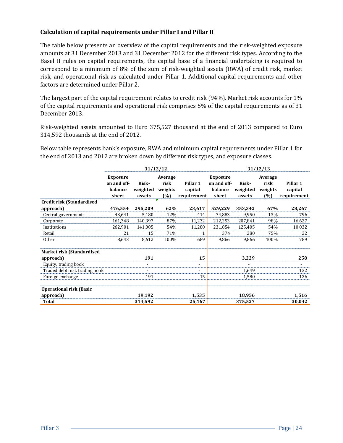#### **Calculation of capital requirements under Pillar I and Pillar II**

The table below presents an overview of the capital requirements and the risk-weighted exposure amounts at 31 December 2013 and 31 December 2012 for the different risk types. According to the Basel II rules on capital requirements, the capital base of a financial undertaking is required to correspond to a minimum of 8% of the sum of risk-weighted assets (RWA) of credit risk, market risk, and operational risk as calculated under Pillar 1. Additional capital requirements and other factors are determined under Pillar 2.

The largest part of the capital requirement relates to credit risk (94%). Market risk accounts for 1% of the capital requirements and operational risk comprises 5% of the capital requirements as of 31 December 2013.

Risk-weighted assets amounted to Euro 375,527 thousand at the end of 2013 compared to Euro 314,592 thousands at the end of 2012.

Below table represents bank's exposure, RWA and minimum capital requirements under Pillar 1 for the end of 2013 and 2012 are broken down by different risk types, and exposure classes.

|                                   | 31/12/12                       |          |                 |             | 31/12/13                       |          |                 |             |
|-----------------------------------|--------------------------------|----------|-----------------|-------------|--------------------------------|----------|-----------------|-------------|
|                                   | <b>Exposure</b><br>on and off- | Risk-    | Average<br>risk | Pillar 1    | <b>Exposure</b><br>on and off- | Risk-    | Average<br>risk | Pillar 1    |
|                                   | balance                        | weighted | weights         | capital     | balance                        | weighted | weights         | capital     |
|                                   | sheet                          | assets   | (%)             | requirement | sheet                          | assets   | (%)             | requirement |
| <b>Credit risk (Standardised)</b> |                                |          |                 |             |                                |          |                 |             |
| approach)                         | 476,554                        | 295,209  | 62%             | 23,617      | 529,229                        | 353,342  | 67%             | 28,267      |
| Central governments               | 43,641                         | 5,180    | 12%             | 414         | 74,883                         | 9,950    | 13%             | 796         |
| Corporate                         | 161,348                        | 140,397  | 87%             | 11,232      | 212,253                        | 207,841  | 98%             | 16,627      |
| Institutions                      | 262,901                        | 141,005  | 54%             | 11,280      | 231,854                        | 125,405  | 54%             | 10,032      |
| Retail                            | 21                             | 15       | 71%             | 1           | 374                            | 280      | 75%             | 22          |
| Other                             | 8,643                          | 8,612    | 100%            | 689         | 9,866                          | 9,866    | 100%            | 789         |
| <b>Market risk (Standardised</b>  |                                |          |                 |             |                                |          |                 |             |
| approach)                         |                                | 191      |                 | 15          |                                | 3,229    |                 | 258         |
| Equity, trading book              |                                |          |                 | ۰           |                                |          |                 | $\sim$      |
| Traded debt inst. trading book    |                                |          |                 |             |                                | 1,649    |                 | 132         |
| Foreign exchange                  |                                | 191      |                 | 15          |                                | 1,580    |                 | 126         |
| <b>Operational risk (Basic</b>    |                                |          |                 |             |                                |          |                 |             |
| approach)                         |                                | 19,192   |                 | 1,535       |                                | 18,956   |                 | 1,516       |
| <b>Total</b>                      |                                | 314,592  |                 | 25,167      |                                | 375,527  |                 | 30,042      |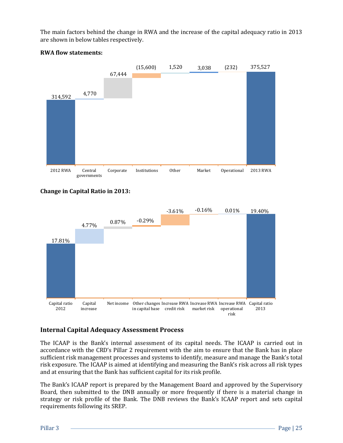The main factors behind the change in RWA and the increase of the capital adequacy ratio in 2013 are shown in below tables respectively.



#### **RWA flow statements:**





#### **Internal Capital Adequacy Assessment Process**

The ICAAP is the Bank's internal assessment of its capital needs. The ICAAP is carried out in accordance with the CRD's Pillar 2 requirement with the aim to ensure that the Bank has in place sufficient risk management processes and systems to identify, measure and manage the Bank's total risk exposure. The ICAAP is aimed at identifying and measuring the Bank's risk across all risk types and at ensuring that the Bank has sufficient capital for its risk profile.

The Bank's ICAAP report is prepared by the Management Board and approved by the Supervisory Board, then submitted to the DNB annually or more frequently if there is a material change in strategy or risk profile of the Bank. The DNB reviews the Bank's ICAAP report and sets capital requirements following its SREP.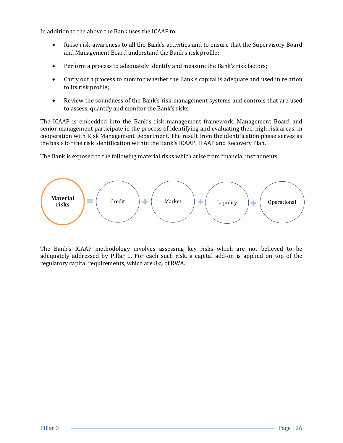In addition to the above the Bank uses the ICAAP to:

- Raise risk-awareness to all the Bank's activities and to ensure that the Supervisory Board and Management Board understand the Bank's risk profile;
- Perform a process to adequately identify and measure the Bank's risk factors;
- Carry out a process to monitor whether the Bank's capital is adequate and used in relation to its risk profile;
- Review the soundness of the Bank's risk management systems and controls that are used to assess, quantify and monitor the Bank's risks.

The ICAAP is embedded into the Bank's risk management framework. Management Board and senior management participate in the process of identifying and evaluating their high risk areas, in cooperation with Risk Management Department. The result from the identification phase serves as the basis for the risk identification within the Bank's ICAAP, ILAAP and Recovery Plan.

The Bank is exposed to the following material risks which arise from financial instruments:



The Bank's ICAAP methodology involves assessing key risks which are not believed to be adequately addressed by Pillar 1. For each such risk, a capital add-on is applied on top of the regulatory capital requirements, which are 8% of RWA.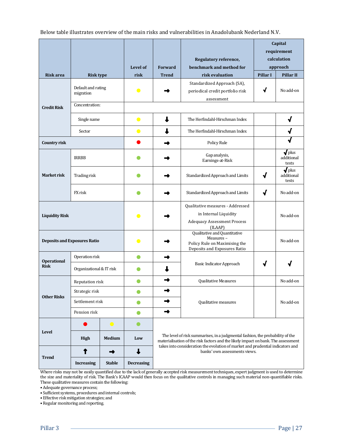Below table illustrates overview of the main risks and vulnerabilities in Anadolubank Nederland N.V.

|                                                  |                                 |                                                                                                            | Level of          | Regulatory reference,<br>benchmark and method for<br><b>Forward</b>                                                                                                                                                                                  |                                                                               | Capital<br>requirement<br>calculation<br>approach |                                                  |  |
|--------------------------------------------------|---------------------------------|------------------------------------------------------------------------------------------------------------|-------------------|------------------------------------------------------------------------------------------------------------------------------------------------------------------------------------------------------------------------------------------------------|-------------------------------------------------------------------------------|---------------------------------------------------|--------------------------------------------------|--|
| <b>Risk area</b>                                 | <b>Risk type</b>                |                                                                                                            | risk              | <b>Trend</b>                                                                                                                                                                                                                                         | risk evaluation                                                               | Pillar I                                          | <b>Pillar II</b>                                 |  |
|                                                  | Default and rating<br>migration |                                                                                                            | $\bullet$         |                                                                                                                                                                                                                                                      | Standardized Approach (SA),<br>periodical credit portfolio risk<br>assessment | √                                                 | No add-on                                        |  |
| <b>Credit Risk</b>                               | Concentration:                  |                                                                                                            |                   |                                                                                                                                                                                                                                                      |                                                                               |                                                   |                                                  |  |
|                                                  | Single name                     |                                                                                                            | $\bullet$         |                                                                                                                                                                                                                                                      | The Herfindahl-Hirschman Index                                                |                                                   | √                                                |  |
|                                                  | Sector                          |                                                                                                            | $\bullet$         | The Herfindahl-Hirschman Index                                                                                                                                                                                                                       |                                                                               |                                                   | √                                                |  |
| Country risk                                     |                                 |                                                                                                            |                   |                                                                                                                                                                                                                                                      | Policy Rule                                                                   |                                                   |                                                  |  |
|                                                  | <b>IRRBB</b>                    |                                                                                                            |                   |                                                                                                                                                                                                                                                      | Gap analysis,<br>Earnings-at-Risk                                             |                                                   | $\sqrt{\frac{1}{2}}$ plus<br>additional<br>tests |  |
| <b>Market risk</b>                               | Trading risk                    |                                                                                                            |                   |                                                                                                                                                                                                                                                      | Standardized Approach and Limits                                              | √                                                 | $\sqrt{\frac{1}{2}}$ plus<br>additional<br>tests |  |
|                                                  | FX risk                         |                                                                                                            |                   |                                                                                                                                                                                                                                                      | Standardized Approach and Limits                                              | √                                                 | No add-on                                        |  |
| <b>Liquidity Risk</b>                            |                                 | $\bullet$                                                                                                  |                   | Qualitative measures - Addressed<br>in Internal Liquidity<br><b>Adequacy Assessment Process</b><br>(ILAAP)                                                                                                                                           |                                                                               | No add-on                                         |                                                  |  |
| <b>Deposits and Exposures Ratio</b><br>$\bullet$ |                                 | Qualitative and Quantitative<br>Measures-<br>Policy Rule on Maximising the<br>Deposits and Exposures Ratio |                   | No add-on                                                                                                                                                                                                                                            |                                                                               |                                                   |                                                  |  |
| <b>Operational</b>                               | Operation risk                  |                                                                                                            | O                 |                                                                                                                                                                                                                                                      |                                                                               |                                                   |                                                  |  |
| <b>Risk</b>                                      | Organizational & IT risk        |                                                                                                            |                   |                                                                                                                                                                                                                                                      | Basic Indicator Approach                                                      |                                                   |                                                  |  |
|                                                  | Reputation risk                 |                                                                                                            | O                 | →                                                                                                                                                                                                                                                    | <b>Qualitative Measures</b>                                                   |                                                   | No add-on                                        |  |
|                                                  | Strategic risk                  |                                                                                                            | O                 |                                                                                                                                                                                                                                                      |                                                                               |                                                   |                                                  |  |
| <b>Other Risks</b>                               |                                 | Settlement risk<br>$\bullet$                                                                               |                   | ➡                                                                                                                                                                                                                                                    | Qualitative measures                                                          |                                                   | No add-on                                        |  |
|                                                  | Pension risk<br>$\bullet$       |                                                                                                            |                   | ➡                                                                                                                                                                                                                                                    |                                                                               |                                                   |                                                  |  |
|                                                  |                                 | $\bullet$                                                                                                  |                   |                                                                                                                                                                                                                                                      |                                                                               |                                                   |                                                  |  |
| <b>Level</b>                                     | <b>High</b>                     | <b>Medium</b>                                                                                              | Low               | The level of risk summarises, in a judgmental fashion, the probability of the<br>materialisation of the risk factors and the likely impact on bank. The assessment<br>takes into consideration the evolution of market and prudential indicators and |                                                                               |                                                   |                                                  |  |
| ➡<br><b>Trend</b>                                |                                 | banks' own assessments views.                                                                              |                   |                                                                                                                                                                                                                                                      |                                                                               |                                                   |                                                  |  |
|                                                  | <b>Increasing</b>               | <b>Stable</b>                                                                                              | <b>Decreasing</b> |                                                                                                                                                                                                                                                      |                                                                               |                                                   |                                                  |  |

Where risks may not be easily quantified due to the lack of generally accepted risk measurement techniques, expert judgment is used to determine the size and materiality of risk. The Bank's ICAAP would then focus on the qualitative controls in managing such material non-quantifiable risks. These qualitative measures contain the following:

• Adequate governance process;

• Sufficient systems, procedures and internal controls;

• Effective risk mitigation strategies; and

• Regular monitoring and reporting.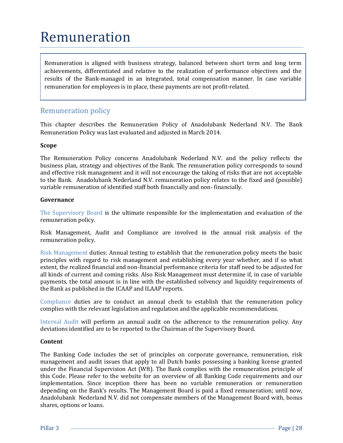### <span id="page-29-0"></span>Remuneration

Remuneration is aligned with business strategy, balanced between short term and long term achievements, differentiated and relative to the realization of performance objectives and the results of the Bank-managed in an integrated, total compensation manner. In case variable remuneration for employees is in place, these payments are not profit-related.

### Remuneration policy

This chapter describes the Remuneration Policy of Anadolubank Nederland N.V. The Bank Remuneration Policy was last evaluated and adjusted in March 2014.

#### **Scope**

The Remuneration Policy concerns Anadolubank Nederland N.V. and the policy reflects the business plan, strategy and objectives of the Bank. The remuneration policy corresponds to sound and effective risk management and it will not encourage the taking of risks that are not acceptable to the Bank. Anadolubank Nederland N.V. remuneration policy relates to the fixed and (possible) variable remuneration of identified staff both financially and non- financially.

#### **Governance**

The Supervisory Board is the ultimate responsible for the implementation and evaluation of the remuneration policy.

Risk Management, Audit and Compliance are involved in the annual risk analysis of the remuneration policy.

Risk Management duties: Annual testing to establish that the remuneration policy meets the basic principles with regard to risk management and establishing every year whether, and if so what extent, the realized financial and non-financial performance criteria for staff need to be adjusted for all kinds of current and coming risks. Also Risk Management must determine if, in case of variable payments, the total amount is in line with the established solvency and liquidity requirements of the Bank as published in the ICAAP and ILAAP reports.

Compliance duties are to conduct an annual check to establish that the remuneration policy complies with the relevant legislation and regulation and the applicable recommendations.

Internal Audit will perform an annual audit on the adherence to the remuneration policy. Any deviations identified are to be reported to the Chairman of the Supervisory Board.

#### **Content**

The Banking Code includes the set of principles on corporate governance, remuneration, risk management and audit issues that apply to all Dutch banks possessing a banking license granted under the Financial Supervision Act (Wft). The Bank complies with the remuneration principle of this Code. Please refer to the website for an overview of all Banking Code requirements and our implementation. Since inception there has been no variable remuneration or remuneration depending on the Bank's results. The Management Board is paid a fixed remuneration; until now, Anadolubank Nederland N.V. did not compensate members of the Management Board with, bonus shares, options or loans.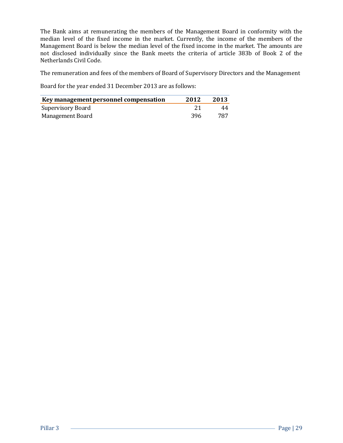The Bank aims at remunerating the members of the Management Board in conformity with the median level of the fixed income in the market. Currently, the income of the members of the Management Board is below the median level of the fixed income in the market. The amounts are not disclosed individually since the Bank meets the criteria of article 383b of Book 2 of the Netherlands Civil Code.

The remuneration and fees of the members of Board of Supervisory Directors and the Management

Board for the year ended 31 December 2013 are as follows:

| Key management personnel compensation | 2012 | 2013 |
|---------------------------------------|------|------|
| Supervisory Board                     |      | 44   |
| Management Board                      | -396 | 787  |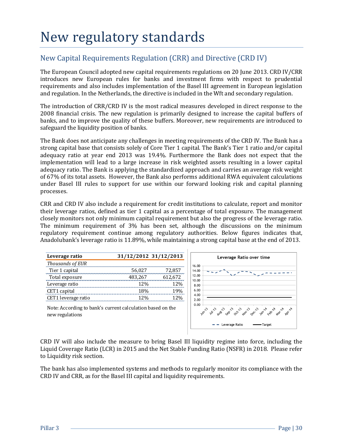### <span id="page-31-0"></span>New regulatory standards

### New Capital Requirements Regulation (CRR) and Directive (CRD IV)

The European Council adopted new capital requirements regulations on 20 June 2013. CRD IV/CRR introduces new European rules for banks and investment firms with respect to prudential requirements and also includes implementation of the Basel III agreement in European legislation and regulation. In the Netherlands, the directive is included in the Wft and secondary regulation.

The introduction of CRR/CRD IV is the most radical measures developed in direct response to the 2008 financial crisis. The new regulation is primarily designed to increase the capital buffers of banks, and to improve the quality of these buffers. Moreover, new requirements are introduced to safeguard the liquidity position of banks.

The Bank does not anticipate any challenges in meeting requirements of the CRD IV. The Bank has a strong capital base that consists solely of Core Tier 1 capital. The Bank's Tier 1 ratio and/or capital adequacy ratio at year end 2013 was 19.4%. Furthermore the Bank does not expect that the implementation will lead to a large increase in risk weighted assets resulting in a lower capital adequacy ratio. The Bank is applying the standardized approach and carries an average risk weight of 67% of its total assets. However, the Bank also performs additional RWA equivalent calculations under Basel III rules to support for use within our forward looking risk and capital planning processes.

CRR and CRD IV also include a requirement for credit institutions to calculate, report and monitor their leverage ratios, defined as tier 1 capital as a percentage of total exposure. The management closely monitors not only minimum capital requirement but also the progress of the leverage ratio. The minimum requirement of 3% has been set, although the discussions on the minimum regulatory requirement continue among regulatory authorities. Below figures indicates that, Anadolubank's leverage ratio is 11.89%, while maintaining a strong capital base at the end of 2013.

| Leverage ratio      | 31/12/2012 31/12/2013 |            |
|---------------------|-----------------------|------------|
| Thousands of EUR    |                       |            |
| Tier 1 capital      | 56,027                | 72,857     |
| Total exposure      | 483,267               | 612,672    |
| Leverage ratio      | 12%                   | <b>12%</b> |
| CET1 capital        | 18%                   | 19%        |
| CET1 leverage ratio | 12%                   | 12%        |
|                     |                       |            |



Note: According to bank's current calculation based on the new regulations

CRD IV will also include the measure to bring Basel III liquidity regime into force, including the Liquid Coverage Ratio (LCR) in 2015 and the Net Stable Funding Ratio (NSFR) in 2018. Please refer to Liquidity risk section.

The bank has also implemented systems and methods to regularly monitor its compliance with the CRD IV and CRR, as for the Basel III capital and liquidity requirements.